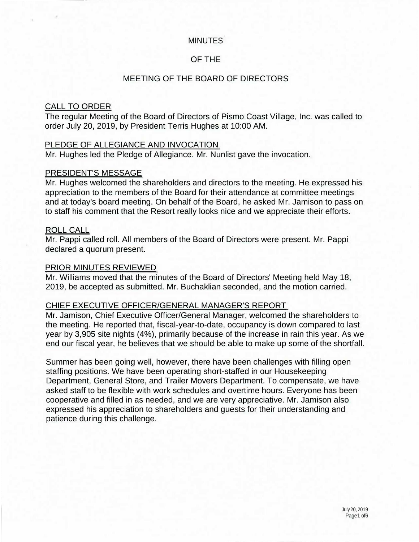## MINUTES

## OF THE

### MEETING OF THE BOARD OF DIRECTORS

### CALL TO ORDER

The regular Meeting of the Board of Directors of Pismo Coast Village, Inc. was called to order July 20, 2019, by President Terris Hughes at 10:00 AM.

#### PLEDGE OF ALLEGIANCE AND INVOCATION

Mr. Hughes led the Pledge of Allegiance. Mr. Nunlist gave the invocation.

#### PRESIDENT'S MESSAGE

Mr. Hughes welcomed the shareholders and directors to the meeting. He expressed his appreciation to the members of the Board for their attendance at committee meetings and at today's board meeting. On behalf of the Board, he asked Mr. Jamison to pass on to staff his comment that the Resort really looks nice and we appreciate their efforts.

#### ROLL CALL

Mr. Pappi called roll. All members of the Board of Directors were present. Mr. Pappi declared a quorum present.

#### PRIOR MINUTES REVIEWED

Mr. Williams moved that the minutes of the Board of Directors' Meeting held May 18, 2019, be accepted as submitted. Mr. Buchaklian seconded, and the motion carried.

#### CHIEF EXECUTIVE OFFICER/GENERAL MANAGER'S REPORT

Mr. Jamison, Chief Executive Officer/General Manager, welcomed the shareholders to the meeting. He reported that, fiscal-year-to-date, occupancy is down compared to last year by 3,905 site nights (4%), primarily because of the increase in rain this year. As we end our fiscal year, he believes that we should be able to make up some of the shortfall.

Summer has been going well, however, there have been challenges with filling open staffing positions. We have been operating short-staffed in our Housekeeping Department, General Store, and Trailer Movers Department. To compensate, we have asked staff to be flexible with work schedules and overtime hours. Everyone has been cooperative and filled in as needed, and we are very appreciative. Mr. Jamison also expressed his appreciation to shareholders and guests for their understanding and patience during this challenge.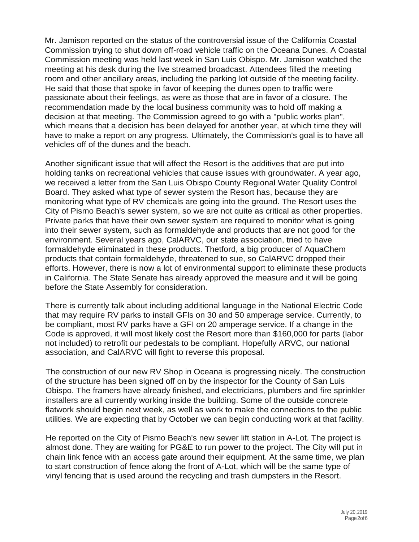Mr. Jamison reported on the status of the controversial issue of the California Coastal Commission trying to shut down off-road vehicle traffic on the Oceana Dunes. A Coastal Commission meeting was held last week in San Luis Obispo. Mr. Jamison watched the meeting at his desk during the live streamed broadcast. Attendees filled the meeting room and other ancillary areas, including the parking lot outside of the meeting facility. He said that those that spoke in favor of keeping the dunes open to traffic were passionate about their feelings, as were as those that are in favor of a closure. The recommendation made by the local business community was to hold off making a decision at that meeting. The Commission agreed to go with a "public works plan", which means that a decision has been delayed for another year, at which time they will have to make a report on any progress. Ultimately, the Commission's goal is to have all vehicles off of the dunes and the beach.

Another significant issue that will affect the Resort is the additives that are put into holding tanks on recreational vehicles that cause issues with groundwater. A year ago, we received a letter from the San Luis Obispo County Regional Water Quality Control Board. They asked what type of sewer system the Resort has, because they are monitoring what type of RV chemicals are going into the ground. The Resort uses the City of Pismo Beach's sewer system, so we are not quite as critical as other properties. Private parks that have their own sewer system are required to monitor what is going into their sewer system, such as formaldehyde and products that are not good for the environment. Several years ago, CalARVC, our state association, tried to have formaldehyde eliminated in these products. Thetford, a big producer of AquaChem products that contain formaldehyde, threatened to sue, so CalARVC dropped their efforts. However, there is now a lot of environmental support to eliminate these products in California. The State Senate has already approved the measure and it will be going before the State Assembly for consideration.

There is currently talk about including additional language in the National Electric Code that may require RV parks to install GFls on 30 and 50 amperage service. Currently, to be compliant, most RV parks have a GFI on 20 amperage service. If a change in the Code is approved, it will most likely cost the Resort more than \$160,000 for parts (labor not included) to retrofit our pedestals to be compliant. Hopefully ARVC, our national association, and CalARVC will fight to reverse this proposal.

The construction of our new RV Shop in Oceana is progressing nicely. The construction of the structure has been signed off on by the inspector for the County of San Luis Obispo. The framers have already finished, and electricians, plumbers and fire sprinkler installers are all currently working inside the building. Some of the outside concrete flatwork should begin next week, as well as work to make the connections to the public utilities. We are expecting that by October we can begin conducting work at that facility.

He reported on the City of Pismo Beach's new sewer lift station in A-Lot. The project is almost done. They are waiting for PG&E to run power to the project. The City will put in chain link fence with an access gate around their equipment. At the same time, we plan to start construction of fence along the front of A-Lot, which will be the same type of vinyl fencing that is used around the recycling and trash dumpsters in the Resort.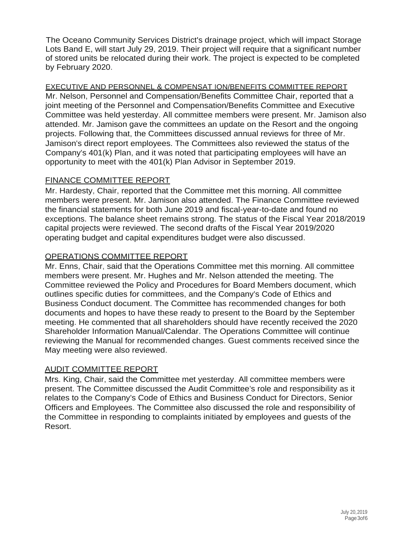The Oceano Community Services District's drainage project, which will impact Storage Lots Band E, will start July 29, 2019. Their project will require that a significant number of stored units be relocated during their work. The project is expected to be completed by February 2020.

EXECUTIVE AND PERSONNEL & COMPENSAT ION/BENEFITS COMMITTEE REPORT Mr. Nelson, Personnel and Compensation/Benefits Committee Chair, reported that a joint meeting of the Personnel and Compensation/Benefits Committee and Executive Committee was held yesterday. All committee members were present. Mr. Jamison also attended. Mr. Jamison gave the committees an update on the Resort and the ongoing projects. Following that, the Committees discussed annual reviews for three of Mr. Jamison's direct report employees. The Committees also reviewed the status of the Company's 401(k) Plan, and it was noted that participating employees will have an opportunity to meet with the 401(k) Plan Advisor in September 2019.

## FINANCE COMMITTEE REPORT

Mr. Hardesty, Chair, reported that the Committee met this morning. All committee members were present. Mr. Jamison also attended. The Finance Committee reviewed the financial statements for both June 2019 and fiscal-year-to-date and found no exceptions. The balance sheet remains strong. The status of the Fiscal Year 2018/2019 capital projects were reviewed. The second drafts of the Fiscal Year 2019/2020 operating budget and capital expenditures budget were also discussed.

# OPERATIONS COMMITTEE REPORT

Mr. Enns, Chair, said that the Operations Committee met this morning. All committee members were present. Mr. Hughes and Mr. Nelson attended the meeting. The Committee reviewed the Policy and Procedures for Board Members document, which outlines specific duties for committees, and the Company's Code of Ethics and Business Conduct document. The Committee has recommended changes for both documents and hopes to have these ready to present to the Board by the September meeting. He commented that all shareholders should have recently received the 2020 Shareholder Information Manual/Calendar. The Operations Committee will continue reviewing the Manual for recommended changes. Guest comments received since the May meeting were also reviewed.

# AUDIT COMMITTEE REPORT

Mrs. King, Chair, said the Committee met yesterday. All committee members were present. The Committee discussed the Audit Committee's role and responsibility as it relates to the Company's Code of Ethics and Business Conduct for Directors, Senior Officers and Employees. The Committee also discussed the role and responsibility of the Committee in responding to complaints initiated by employees and guests of the Resort.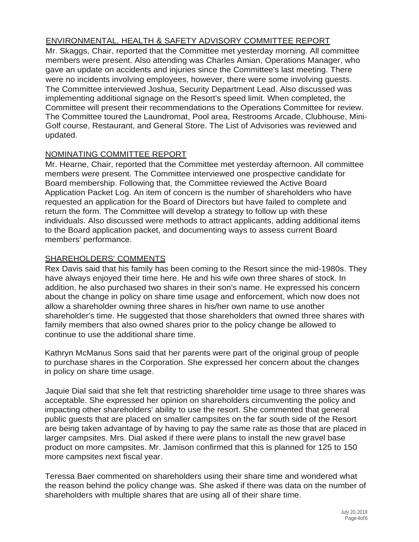## ENVIRONMENTAL, HEALTH & SAFETY ADVISORY COMMITTEE REPORT

Mr. Skaggs, Chair, reported that the Committee met yesterday morning. All committee members were present. Also attending was Charles Amian, Operations Manager, who gave an update on accidents and injuries since the Committee's last meeting. There were no incidents involving employees, however, there were some involving guests. The Committee interviewed Joshua, Security Department Lead. Also discussed was implementing additional signage on the Resort's speed limit. When completed, the Committee will present their recommendations to the Operations Committee for review. The Committee toured the Laundromat, Pool area, Restrooms Arcade, Clubhouse, Mini-Golf course, Restaurant, and General Store. The List of Advisories was reviewed and updated.

## NOMINATING COMMITTEE REPORT

Mr. Hearne, Chair, reported that the Committee met yesterday afternoon. All committee members were present. The Committee interviewed one prospective candidate for Board membership. Following that, the Committee reviewed the Active Board Application Packet Log. An item of concern is the number of shareholders who have requested an application for the Board of Directors but have failed to complete and return the form. The Committee will develop a strategy to follow up with these individuals. Also discussed were methods to attract applicants, adding additional items to the Board application packet, and documenting ways to assess current Board members' performance.

## SHAREHOLDERS' COMMENTS

Rex Davis said that his family has been coming to the Resort since the mid-1980s. They have always enjoyed their time here. He and his wife own three shares of stock. In addition, he also purchased two shares in their son's name. He expressed his concern about the change in policy on share time usage and enforcement, which now does not allow a shareholder owning three shares in his/her own name to use another shareholder's time. He suggested that those shareholders that owned three shares with family members that also owned shares prior to the policy change be allowed to continue to use the additional share time.

Kathryn McManus Sons said that her parents were part of the original group of people to purchase shares in the Corporation. She expressed her concern about the changes in policy on share time usage.

Jaquie Dial said that she felt that restricting shareholder time usage to three shares was acceptable. She expressed her opinion on shareholders circumventing the policy and impacting other shareholders' ability to use the resort. She commented that general public guests that are placed on smaller campsites on the far south side of the Resort are being taken advantage of by having to pay the same rate as those that are placed in larger campsites. Mrs. Dial asked if there were plans to install the new gravel base product on more campsites. Mr. Jamison confirmed that this is planned for 125 to 150 more campsites next fiscal year.

Teressa Baer commented on shareholders using their share time and wondered what the reason behind the policy change was. She asked if there was data on the number of shareholders with multiple shares that are using all of their share time.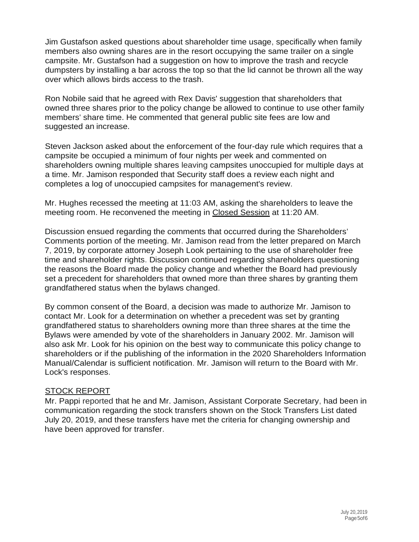Jim Gustafson asked questions about shareholder time usage, specifically when family members also owning shares are in the resort occupying the same trailer on a single campsite. Mr. Gustafson had a suggestion on how to improve the trash and recycle dumpsters by installing a bar across the top so that the lid cannot be thrown all the way over which allows birds access to the trash.

Ron Nobile said that he agreed with Rex Davis' suggestion that shareholders that owned three shares prior to the policy change be allowed to continue to use other family members' share time. He commented that general public site fees are low and suggested an increase.

Steven Jackson asked about the enforcement of the four-day rule which requires that a campsite be occupied a minimum of four nights per week and commented on shareholders owning multiple shares leaving campsites unoccupied for multiple days at a time. Mr. Jamison responded that Security staff does a review each night and completes a log of unoccupied campsites for management's review.

Mr. Hughes recessed the meeting at 11:03 AM, asking the shareholders to leave the meeting room. He reconvened the meeting in Closed Session at 11:20 AM.

Discussion ensued regarding the comments that occurred during the Shareholders' Comments portion of the meeting. Mr. Jamison read from the letter prepared on March 7, 2019, by corporate attorney Joseph Look pertaining to the use of shareholder free time and shareholder rights. Discussion continued regarding shareholders questioning the reasons the Board made the policy change and whether the Board had previously set a precedent for shareholders that owned more than three shares by granting them grandfathered status when the bylaws changed.

By common consent of the Board, a decision was made to authorize Mr. Jamison to contact Mr. Look for a determination on whether a precedent was set by granting grandfathered status to shareholders owning more than three shares at the time the Bylaws were amended by vote of the shareholders in January 2002. Mr. Jamison will also ask Mr. Look for his opinion on the best way to communicate this policy change to shareholders or if the publishing of the information in the 2020 Shareholders Information Manual/Calendar is sufficient notification. Mr. Jamison will return to the Board with Mr. Lock's responses.

## STOCK REPORT

Mr. Pappi reported that he and Mr. Jamison, Assistant Corporate Secretary, had been in communication regarding the stock transfers shown on the Stock Transfers List dated July 20, 2019, and these transfers have met the criteria for changing ownership and have been approved for transfer.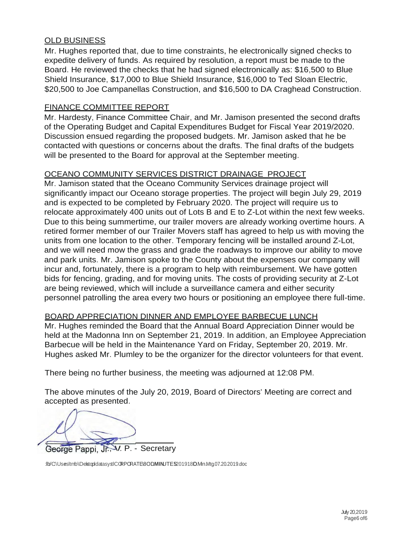## OLD BUSINESS

Mr. Hughes reported that, due to time constraints, he electronically signed checks to expedite delivery of funds. As required by resolution, a report must be made to the Board. He reviewed the checks that he had signed electronically as: \$16,500 to Blue Shield Insurance, \$17,000 to Blue Shield Insurance, \$16,000 to Ted Sloan Electric, \$20,500 to Joe Campanellas Construction, and \$16,500 to DA Craghead Construction.

## FINANCE COMMITTEE REPORT

Mr. Hardesty, Finance Committee Chair, and Mr. Jamison presented the second drafts of the Operating Budget and Capital Expenditures Budget for Fiscal Year 2019/2020. Discussion ensued regarding the proposed budgets. Mr. Jamison asked that he be contacted with questions or concerns about the drafts. The final drafts of the budgets will be presented to the Board for approval at the September meeting.

## OCEANO COMMUNITY SERVICES DISTRICT DRAINAGE PROJECT

Mr. Jamison stated that the Oceano Community Services drainage project will significantly impact our Oceano storage properties. The project will begin July 29, 2019 and is expected to be completed by February 2020. The project will require us to relocate approximately 400 units out of Lots B and E to Z-Lot within the next few weeks. Due to this being summertime, our trailer movers are already working overtime hours. A retired former member of our Trailer Movers staff has agreed to help us with moving the units from one location to the other. Temporary fencing will be installed around Z-Lot, and we will need mow the grass and grade the roadways to improve our ability to move and park units. Mr. Jamison spoke to the County about the expenses our company will incur and, fortunately, there is a program to help with reimbursement. We have gotten bids for fencing, grading, and for moving units. The costs of providing security at Z-Lot are being reviewed, which will include a surveillance camera and either security personnel patrolling the area every two hours or positioning an employee there full-time.

## BOARD APPRECIATION DINNER AND EMPLOYEE BARBECUE LUNCH

Mr. Hughes reminded the Board that the Annual Board Appreciation Dinner would be held at the Madonna Inn on September 21, 2019. In addition, an Employee Appreciation Barbecue will be held in the Maintenance Yard on Friday, September 20, 2019. Mr. Hughes asked Mr. Plumley to be the organizer for the director volunteers for that event.

There being no further business, the meeting was adjourned at 12:08 PM.

The above minutes of the July 20, 2019, Board of Directors' Meeting are correct and accepted as presented.

George Pappi, Jr. V. P. - Secretary

:lb/C:\Usersltmb\DekstopldatasystlCORPORATE\8OD**.MIN**UTES\201918OD.Min.Mtg.07.20.2019..doc